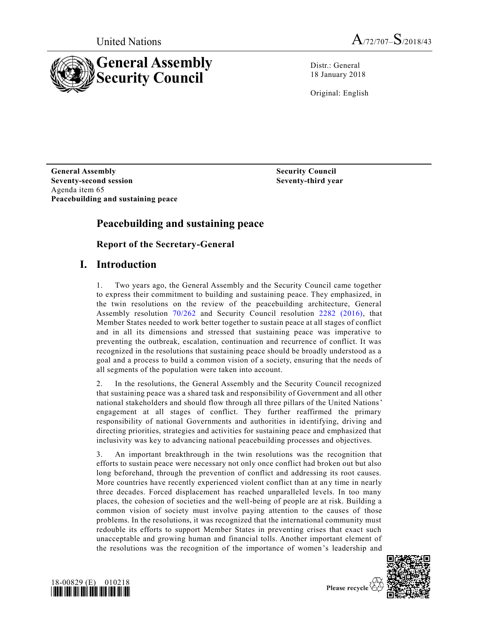



Distr.: General 18 January 2018

Original: English

**General Assembly Seventy-second session** Agenda item 65 **Peacebuilding and sustaining peace** **Security Council Seventy-third year**

## **Peacebuilding and sustaining peace**

**Report of the Secretary-General**

### **I. Introduction**

1. Two years ago, the General Assembly and the Security Council came together to express their commitment to building and sustaining peace. They emphasized, in the twin resolutions on the review of the peacebuilding architecture, General Assembly resolution [70/262](https://undocs.org/A/RES/70/262) and Security Council resolution [2282 \(2016\),](https://undocs.org/S/RES/2282(2016)) that Member States needed to work better together to sustain peace at all stages of conflict and in all its dimensions and stressed that sustaining peace was imperative to preventing the outbreak, escalation, continuation and recurrence of conflict. It was recognized in the resolutions that sustaining peace should be broadly understood as a goal and a process to build a common vision of a society, ensuring that the needs of all segments of the population were taken into account.

2. In the resolutions, the General Assembly and the Security Council recognized that sustaining peace was a shared task and responsibility of Government and all other national stakeholders and should flow through all three pillars of the United Nations' engagement at all stages of conflict. They further reaffirmed the primary responsibility of national Governments and authorities in identifying, driving and directing priorities, strategies and activities for sustaining peace and emphasized that inclusivity was key to advancing national peacebuilding processes and objectives.

3. An important breakthrough in the twin resolutions was the recognition that efforts to sustain peace were necessary not only once conflict had broken out but also long beforehand, through the prevention of conflict and addressing its root causes. More countries have recently experienced violent conflict than at any time in nearly three decades. Forced displacement has reached unparalleled levels. In too many places, the cohesion of societies and the well-being of people are at risk. Building a common vision of society must involve paying attention to the causes of those problems. In the resolutions, it was recognized that the international community must redouble its efforts to support Member States in preventing crises that exact such unacceptable and growing human and financial tolls. Another important element of the resolutions was the recognition of the importance of women's leadership and



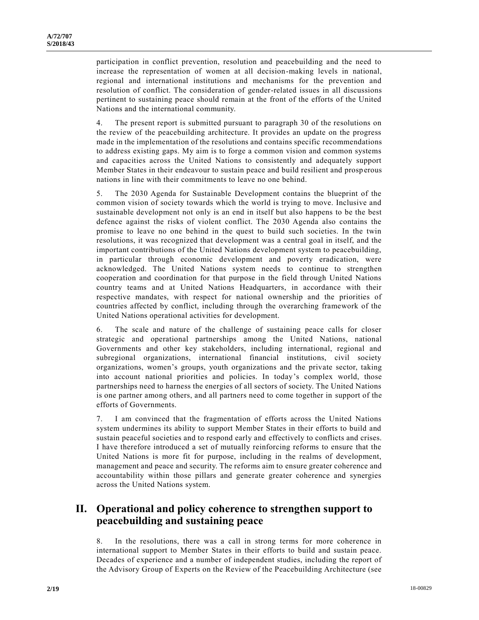participation in conflict prevention, resolution and peacebuilding and the need to increase the representation of women at all decision-making levels in national, regional and international institutions and mechanisms for the prevention and resolution of conflict. The consideration of gender-related issues in all discussions pertinent to sustaining peace should remain at the front of the efforts of the United Nations and the international community.

4. The present report is submitted pursuant to paragraph 30 of the resolutions on the review of the peacebuilding architecture. It provides an update on the progress made in the implementation of the resolutions and contains specific recommendations to address existing gaps. My aim is to forge a common vision and common systems and capacities across the United Nations to consistently and adequately support Member States in their endeavour to sustain peace and build resilient and prosp erous nations in line with their commitments to leave no one behind.

5. The 2030 Agenda for Sustainable Development contains the blueprint of the common vision of society towards which the world is trying to move. Inclusive and sustainable development not only is an end in itself but also happens to be the best defence against the risks of violent conflict. The 2030 Agenda also contains the promise to leave no one behind in the quest to build such societies. In the twin resolutions, it was recognized that development was a central goal in itself, and the important contributions of the United Nations development system to peacebuilding, in particular through economic development and poverty eradication, were acknowledged. The United Nations system needs to continue to strengthen cooperation and coordination for that purpose in the field through United Nations country teams and at United Nations Headquarters, in accordance with their respective mandates, with respect for national ownership and the priorities of countries affected by conflict, including through the overarching framework of the United Nations operational activities for development.

6. The scale and nature of the challenge of sustaining peace calls for closer strategic and operational partnerships among the United Nations, national Governments and other key stakeholders, including international, regional and subregional organizations, international financial institutions, civil society organizations, women's groups, youth organizations and the private sector, taking into account national priorities and policies. In today's complex world, those partnerships need to harness the energies of all sectors of society. The United Nations is one partner among others, and all partners need to come together in support of the efforts of Governments.

7. I am convinced that the fragmentation of efforts across the United Nations system undermines its ability to support Member States in their efforts to build and sustain peaceful societies and to respond early and effectively to conflicts and crises. I have therefore introduced a set of mutually reinforcing reforms to ensure that the United Nations is more fit for purpose, including in the realms of development, management and peace and security. The reforms aim to ensure greater coherence and accountability within those pillars and generate greater coherence and synergies across the United Nations system.

## **II. Operational and policy coherence to strengthen support to peacebuilding and sustaining peace**

8. In the resolutions, there was a call in strong terms for more coherence in international support to Member States in their efforts to build and sustain peace. Decades of experience and a number of independent studies, including the report of the Advisory Group of Experts on the Review of the Peacebuilding Architecture (see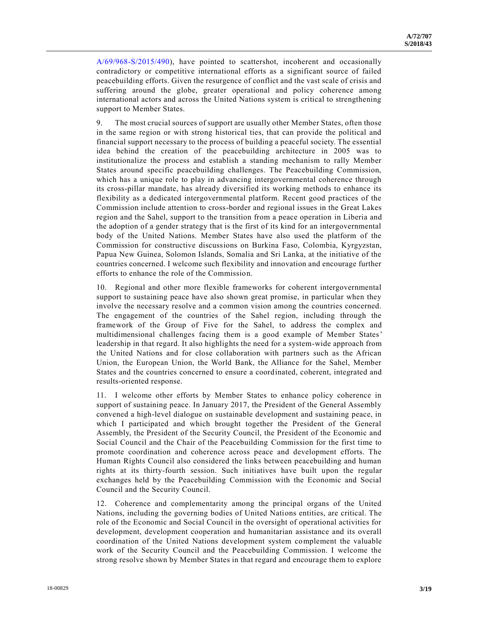[A/69/968-S/2015/490\)](https://undocs.org/A/69/968), have pointed to scattershot, incoherent and occasionally contradictory or competitive international efforts as a significant source of failed peacebuilding efforts. Given the resurgence of conflict and the vast scale of crisis and suffering around the globe, greater operational and policy coherence among international actors and across the United Nations system is critical to strengthening support to Member States.

9. The most crucial sources of support are usually other Member States, often those in the same region or with strong historical ties, that can provide the political and financial support necessary to the process of building a peaceful society. The essential idea behind the creation of the peacebuilding architecture in 2005 was to institutionalize the process and establish a standing mechanism to rally Member States around specific peacebuilding challenges. The Peacebuilding Commission, which has a unique role to play in advancing intergovernmental coherence through its cross-pillar mandate, has already diversified its working methods to enhance its flexibility as a dedicated intergovernmental platform. Recent good practices of the Commission include attention to cross-border and regional issues in the Great Lakes region and the Sahel, support to the transition from a peace operation in Liberia and the adoption of a gender strategy that is the first of its kind for an intergovernmental body of the United Nations. Member States have also used the platform of the Commission for constructive discussions on Burkina Faso, Colombia, Kyrgyzstan, Papua New Guinea, Solomon Islands, Somalia and Sri Lanka, at the initiative of the countries concerned. I welcome such flexibility and innovation and encourage further efforts to enhance the role of the Commission.

10. Regional and other more flexible frameworks for coherent intergovernmental support to sustaining peace have also shown great promise, in particular when they involve the necessary resolve and a common vision among the countries concerned. The engagement of the countries of the Sahel region, including through the framework of the Group of Five for the Sahel, to address the complex and multidimensional challenges facing them is a good example of Member States' leadership in that regard. It also highlights the need for a system-wide approach from the United Nations and for close collaboration with partners such as the African Union, the European Union, the World Bank, the Alliance for the Sahel, Member States and the countries concerned to ensure a coordinated, coherent, integrated and results-oriented response.

11. I welcome other efforts by Member States to enhance policy coherence in support of sustaining peace. In January 2017, the President of the General Assembly convened a high-level dialogue on sustainable development and sustaining peace, in which I participated and which brought together the President of the General Assembly, the President of the Security Council, the President of the Economic and Social Council and the Chair of the Peacebuilding Commission for the first time to promote coordination and coherence across peace and development efforts. The Human Rights Council also considered the links between peacebuilding and human rights at its thirty-fourth session. Such initiatives have built upon the regular exchanges held by the Peacebuilding Commission with the Economic and Social Council and the Security Council.

12. Coherence and complementarity among the principal organs of the United Nations, including the governing bodies of United Nations entities, are critical. The role of the Economic and Social Council in the oversight of operational activities for development, development cooperation and humanitarian assistance and its overall coordination of the United Nations development system complement the valuable work of the Security Council and the Peacebuilding Commission. I welcome the strong resolve shown by Member States in that regard and encourage them to explore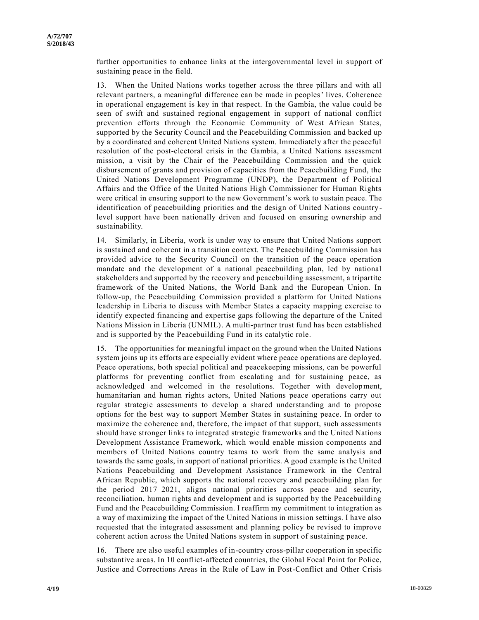further opportunities to enhance links at the intergovernmental level in support of sustaining peace in the field.

13. When the United Nations works together across the three pillars and with all relevant partners, a meaningful difference can be made in peoples' lives. Coherence in operational engagement is key in that respect. In the Gambia, the value could be seen of swift and sustained regional engagement in support of national conflict prevention efforts through the Economic Community of West African States, supported by the Security Council and the Peacebuilding Commission and backed up by a coordinated and coherent United Nations system. Immediately after the peaceful resolution of the post-electoral crisis in the Gambia, a United Nations assessment mission, a visit by the Chair of the Peacebuilding Commission and the quick disbursement of grants and provision of capacities from the Peacebuilding Fund, the United Nations Development Programme (UNDP), the Department of Political Affairs and the Office of the United Nations High Commissioner for Human Rights were critical in ensuring support to the new Government's work to sustain peace. The identification of peacebuilding priorities and the design of United Nations country level support have been nationally driven and focused on ensuring ownership and sustainability.

14. Similarly, in Liberia, work is under way to ensure that United Nations support is sustained and coherent in a transition context. The Peacebuilding Commission has provided advice to the Security Council on the transition of the peace operation mandate and the development of a national peacebuilding plan, led by national stakeholders and supported by the recovery and peacebuilding assessment, a tripartite framework of the United Nations, the World Bank and the European Union. In follow-up, the Peacebuilding Commission provided a platform for United Nations leadership in Liberia to discuss with Member States a capacity mapping exercise to identify expected financing and expertise gaps following the departure of the United Nations Mission in Liberia (UNMIL). A multi-partner trust fund has been established and is supported by the Peacebuilding Fund in its catalytic role.

15. The opportunities for meaningful impact on the ground when the United Nations system joins up its efforts are especially evident where peace operations are deployed. Peace operations, both special political and peacekeeping missions, can be powerful platforms for preventing conflict from escalating and for sustaining peace, as acknowledged and welcomed in the resolutions. Together with development, humanitarian and human rights actors, United Nations peace operations carry out regular strategic assessments to develop a shared understanding and to propose options for the best way to support Member States in sustaining peace. In order to maximize the coherence and, therefore, the impact of that support, such assessments should have stronger links to integrated strategic frameworks and the United Nations Development Assistance Framework, which would enable mission components and members of United Nations country teams to work from the same analysis and towards the same goals, in support of national priorities. A good example is the United Nations Peacebuilding and Development Assistance Framework in the Central African Republic, which supports the national recovery and peacebuilding plan for the period 2017–2021, aligns national priorities across peace and security, reconciliation, human rights and development and is supported by the Peacebuilding Fund and the Peacebuilding Commission. I reaffirm my commitment to integration as a way of maximizing the impact of the United Nations in mission settings. I have also requested that the integrated assessment and planning policy be revised to improve coherent action across the United Nations system in support of sustaining peace.

16. There are also useful examples of in-country cross-pillar cooperation in specific substantive areas. In 10 conflict-affected countries, the Global Focal Point for Police, Justice and Corrections Areas in the Rule of Law in Post-Conflict and Other Crisis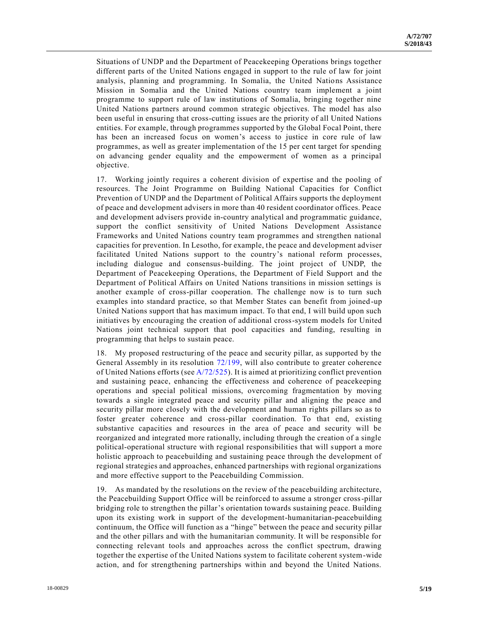Situations of UNDP and the Department of Peacekeeping Operations brings together different parts of the United Nations engaged in support to the rule of law for joint analysis, planning and programming. In Somalia, the United Nations Assistance Mission in Somalia and the United Nations country team implement a joint programme to support rule of law institutions of Somalia, bringing together nine United Nations partners around common strategic objectives. The model has also been useful in ensuring that cross-cutting issues are the priority of all United Nations entities. For example, through programmes supported by the Global Focal Point, there has been an increased focus on women's access to justice in core rule of law programmes, as well as greater implementation of the 15 per cent target for spending on advancing gender equality and the empowerment of women as a principal objective.

17. Working jointly requires a coherent division of expertise and the pooling of resources. The Joint Programme on Building National Capacities for Conflict Prevention of UNDP and the Department of Political Affairs supports the deployment of peace and development advisers in more than 40 resident coordinator offices. Peace and development advisers provide in-country analytical and programmatic guidance, support the conflict sensitivity of United Nations Development Assistance Frameworks and United Nations country team programmes and strengthen national capacities for prevention. In Lesotho, for example, the peace and development adviser facilitated United Nations support to the country's national reform processes, including dialogue and consensus-building. The joint project of UNDP, the Department of Peacekeeping Operations, the Department of Field Support and the Department of Political Affairs on United Nations transitions in mission settings is another example of cross-pillar cooperation. The challenge now is to turn such examples into standard practice, so that Member States can benefit from joined -up United Nations support that has maximum impact. To that end, I will build upon such initiatives by encouraging the creation of additional cross-system models for United Nations joint technical support that pool capacities and funding, resulting in programming that helps to sustain peace.

18. My proposed restructuring of the peace and security pillar, as supported by the General Assembly in its resolution [72/199,](https://undocs.org/A/RES/72/199) will also contribute to greater coherence of United Nations efforts (see  $A/72/525$ ). It is aimed at prioritizing conflict prevention and sustaining peace, enhancing the effectiveness and coherence of peacekeeping operations and special political missions, overcoming fragmentation by moving towards a single integrated peace and security pillar and aligning the peace and security pillar more closely with the development and human rights pillars so as to foster greater coherence and cross-pillar coordination. To that end, existing substantive capacities and resources in the area of peace and security will be reorganized and integrated more rationally, including through the creation of a single political-operational structure with regional responsibilities that will support a more holistic approach to peacebuilding and sustaining peace through the development of regional strategies and approaches, enhanced partnerships with regional organizations and more effective support to the Peacebuilding Commission.

19. As mandated by the resolutions on the review of the peacebuilding architecture, the Peacebuilding Support Office will be reinforced to assume a stronger cross-pillar bridging role to strengthen the pillar's orientation towards sustaining peace. Building upon its existing work in support of the development-humanitarian-peacebuilding continuum, the Office will function as a "hinge" between the peace and security pillar and the other pillars and with the humanitarian community. It will be responsible for connecting relevant tools and approaches across the conflict spectrum, drawing together the expertise of the United Nations system to facilitate coherent system-wide action, and for strengthening partnerships within and beyond the United Nations.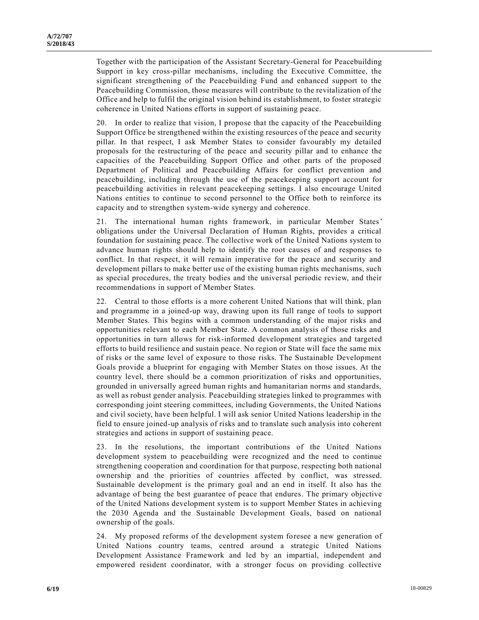Together with the participation of the Assistant Secretary-General for Peacebuilding Support in key cross-pillar mechanisms, including the Executive Committee, the significant strengthening of the Peacebuilding Fund and enhanced support to the Peacebuilding Commission, those measures will contribute to the revitalization of the Office and help to fulfil the original vision behind its establishment, to foster strategic coherence in United Nations efforts in support of sustaining peace.

20. In order to realize that vision, I propose that the capacity of the Peacebuilding Support Office be strengthened within the existing resources of the peace and security pillar. In that respect, I ask Member States to consider favourably my detailed proposals for the restructuring of the peace and security pillar and to enhance the capacities of the Peacebuilding Support Office and other parts of the proposed Department of Political and Peacebuilding Affairs for conflict prevention and peacebuilding, including through the use of the peacekeeping support account for peacebuilding activities in relevant peacekeeping settings. I also encourage United Nations entities to continue to second personnel to the Office both to reinforce its capacity and to strengthen system-wide synergy and coherence.

21. The international human rights framework, in particular Member States' obligations under the Universal Declaration of Human Rights, provides a critical foundation for sustaining peace. The collective work of the United Nations system to advance human rights should help to identify the root causes of and responses to conflict. In that respect, it will remain imperative for the peace and security and development pillars to make better use of the existing human rights mechanisms, such as special procedures, the treaty bodies and the universal periodic review, and their recommendations in support of Member States.

22. Central to those efforts is a more coherent United Nations that will think, plan and programme in a joined-up way, drawing upon its full range of tools to support Member States. This begins with a common understanding of the major risks and opportunities relevant to each Member State. A common analysis of those risks and opportunities in turn allows for risk-informed development strategies and targeted efforts to build resilience and sustain peace. No region or State will face the same mix of risks or the same level of exposure to those risks. The Sustainable Development Goals provide a blueprint for engaging with Member States on those issues. At the country level, there should be a common prioritization of risks and opportunities, grounded in universally agreed human rights and humanitarian norms and standards, as well as robust gender analysis. Peacebuilding strategies linked to programmes with corresponding joint steering committees, including Governments, the United Nations and civil society, have been helpful. I will ask senior United Nations leadership in the field to ensure joined-up analysis of risks and to translate such analysis into coherent strategies and actions in support of sustaining peace.

23. In the resolutions, the important contributions of the United Nations development system to peacebuilding were recognized and the need to continue strengthening cooperation and coordination for that purpose, respecting both national ownership and the priorities of countries affected by conflict, was stressed. Sustainable development is the primary goal and an end in itself. It also has the advantage of being the best guarantee of peace that endures. The primary objective of the United Nations development system is to support Member States in achieving the 2030 Agenda and the Sustainable Development Goals, based on national ownership of the goals.

24. My proposed reforms of the development system foresee a new generation of United Nations country teams, centred around a strategic United Nations Development Assistance Framework and led by an impartial, independent and empowered resident coordinator, with a stronger focus on providing collective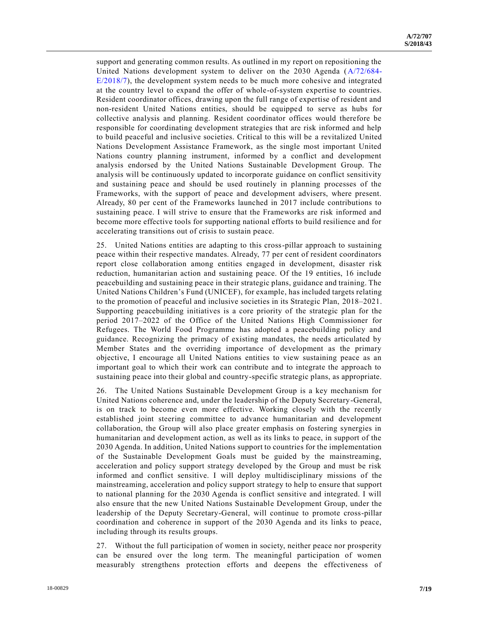support and generating common results. As outlined in my report on repositioning the United Nations development system to deliver on the 2030 Agenda [\(A/72/684-](https://undocs.org/A/72/684–E/2018/7) [E/2018/7\)](https://undocs.org/A/72/684–E/2018/7), the development system needs to be much more cohesive and integrated at the country level to expand the offer of whole-of-system expertise to countries. Resident coordinator offices, drawing upon the full range of expertise of resident and non-resident United Nations entities, should be equipped to serve as hubs for collective analysis and planning. Resident coordinator offices would therefore be responsible for coordinating development strategies that are risk informed and help to build peaceful and inclusive societies. Critical to this will be a revitalized United Nations Development Assistance Framework, as the single most important United Nations country planning instrument, informed by a conflict and development analysis endorsed by the United Nations Sustainable Development Group. The analysis will be continuously updated to incorporate guidance on conflict sensitivity and sustaining peace and should be used routinely in planning processes of the Frameworks, with the support of peace and development advisers, where present. Already, 80 per cent of the Frameworks launched in 2017 include contributions to sustaining peace. I will strive to ensure that the Frameworks are risk informed and become more effective tools for supporting national efforts to build resilience and for accelerating transitions out of crisis to sustain peace.

25. United Nations entities are adapting to this cross-pillar approach to sustaining peace within their respective mandates. Already, 77 per cent of resident coordinators report close collaboration among entities engaged in development, disaster risk reduction, humanitarian action and sustaining peace. Of the 19 entities, 16 include peacebuilding and sustaining peace in their strategic plans, guidance and training. The United Nations Children's Fund (UNICEF), for example, has included targets relating to the promotion of peaceful and inclusive societies in its Strategic Plan, 2018–2021. Supporting peacebuilding initiatives is a core priority of the strategic plan for the period 2017–2022 of the Office of the United Nations High Commissioner for Refugees. The World Food Programme has adopted a peacebuilding policy and guidance. Recognizing the primacy of existing mandates, the needs articulated by Member States and the overriding importance of development as the primary objective, I encourage all United Nations entities to view sustaining peace as an important goal to which their work can contribute and to integrate the approach to sustaining peace into their global and country-specific strategic plans, as appropriate.

26. The United Nations Sustainable Development Group is a key mechanism for United Nations coherence and, under the leadership of the Deputy Secretary-General, is on track to become even more effective. Working closely with the recently established joint steering committee to advance humanitarian and development collaboration, the Group will also place greater emphasis on fostering synergies in humanitarian and development action, as well as its links to peace, in support of the 2030 Agenda. In addition, United Nations support to countries for the implementation of the Sustainable Development Goals must be guided by the mainstreaming, acceleration and policy support strategy developed by the Group and must be risk informed and conflict sensitive. I will deploy multidisciplinary missions of the mainstreaming, acceleration and policy support strategy to help to ensure that support to national planning for the 2030 Agenda is conflict sensitive and integrated. I will also ensure that the new United Nations Sustainable Development Group, under the leadership of the Deputy Secretary-General, will continue to promote cross-pillar coordination and coherence in support of the 2030 Agenda and its links to peace, including through its results groups.

27. Without the full participation of women in society, neither peace nor prosperity can be ensured over the long term. The meaningful participation of women measurably strengthens protection efforts and deepens the effectiveness of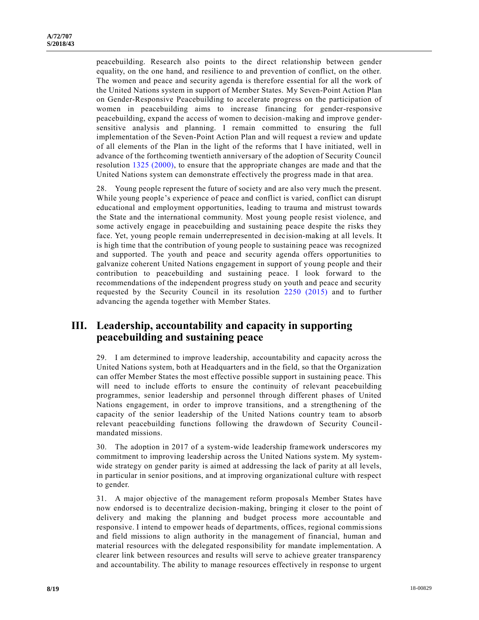peacebuilding. Research also points to the direct relationship between gender equality, on the one hand, and resilience to and prevention of conflict, on the other. The women and peace and security agenda is therefore essential for all the work of the United Nations system in support of Member States. My Seven-Point Action Plan on Gender-Responsive Peacebuilding to accelerate progress on the participation of women in peacebuilding aims to increase financing for gender-responsive peacebuilding, expand the access of women to decision-making and improve gendersensitive analysis and planning. I remain committed to ensuring the full implementation of the Seven-Point Action Plan and will request a review and update of all elements of the Plan in the light of the reforms that I have initiated, well in advance of the forthcoming twentieth anniversary of the adoption of Security Council resolution [1325 \(2000\),](https://undocs.org/S/RES/1325(2000)) to ensure that the appropriate changes are made and that the United Nations system can demonstrate effectively the progress made in that area.

28. Young people represent the future of society and are also very much the present. While young people's experience of peace and conflict is varied, conflict can disrupt educational and employment opportunities, leading to trauma and mistrust towards the State and the international community. Most young people resist violence, and some actively engage in peacebuilding and sustaining peace despite the risks they face. Yet, young people remain underrepresented in decision-making at all levels. It is high time that the contribution of young people to sustaining peace was recognized and supported. The youth and peace and security agenda offers opportunities to galvanize coherent United Nations engagement in support of young people and their contribution to peacebuilding and sustaining peace. I look forward to the recommendations of the independent progress study on youth and peace and security requested by the Security Council in its resolution [2250 \(2015\)](https://undocs.org/S/RES/2250(2015)) and to further advancing the agenda together with Member States.

## **III. Leadership, accountability and capacity in supporting peacebuilding and sustaining peace**

29. I am determined to improve leadership, accountability and capacity across the United Nations system, both at Headquarters and in the field, so that the Organization can offer Member States the most effective possible support in sustaining peace. This will need to include efforts to ensure the continuity of relevant peacebuilding programmes, senior leadership and personnel through different phases of United Nations engagement, in order to improve transitions, and a strengthening of the capacity of the senior leadership of the United Nations country team to absorb relevant peacebuilding functions following the drawdown of Security Councilmandated missions.

30. The adoption in 2017 of a system-wide leadership framework underscores my commitment to improving leadership across the United Nations system. My systemwide strategy on gender parity is aimed at addressing the lack of parity at all levels, in particular in senior positions, and at improving organizational culture with respect to gender.

31. A major objective of the management reform proposals Member States have now endorsed is to decentralize decision-making, bringing it closer to the point of delivery and making the planning and budget process more accountable and responsive. I intend to empower heads of departments, offices, regional commissions and field missions to align authority in the management of financial, human and material resources with the delegated responsibility for mandate implementation. A clearer link between resources and results will serve to achieve greater transparency and accountability. The ability to manage resources effectively in response to urgent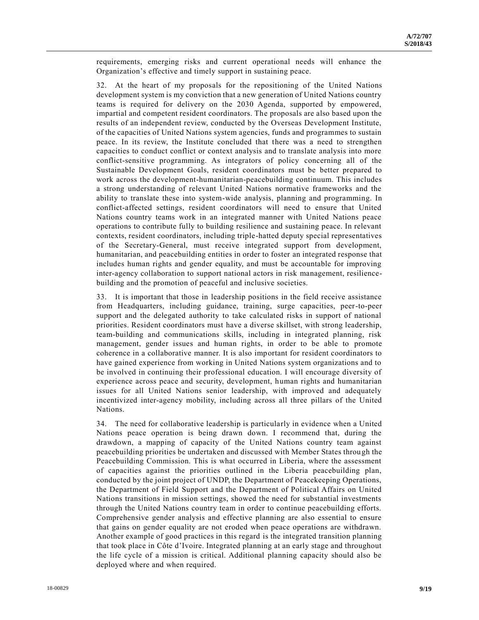requirements, emerging risks and current operational needs will enhance the Organization's effective and timely support in sustaining peace.

32. At the heart of my proposals for the repositioning of the United Nations development system is my conviction that a new generation of United Nations country teams is required for delivery on the 2030 Agenda, supported by empowered, impartial and competent resident coordinators. The proposals are also based upon the results of an independent review, conducted by the Overseas Development Institute, of the capacities of United Nations system agencies, funds and programmes to sustain peace. In its review, the Institute concluded that there was a need to strengthen capacities to conduct conflict or context analysis and to translate analysis into more conflict-sensitive programming. As integrators of policy concerning all of the Sustainable Development Goals, resident coordinators must be better prepared to work across the development-humanitarian-peacebuilding continuum. This includes a strong understanding of relevant United Nations normative frameworks and the ability to translate these into system-wide analysis, planning and programming. In conflict-affected settings, resident coordinators will need to ensure that United Nations country teams work in an integrated manner with United Nations peace operations to contribute fully to building resilience and sustaining peace. In relevant contexts, resident coordinators, including triple-hatted deputy special representatives of the Secretary-General, must receive integrated support from development, humanitarian, and peacebuilding entities in order to foster an integrated response that includes human rights and gender equality, and must be accountable for improving inter-agency collaboration to support national actors in risk management, resiliencebuilding and the promotion of peaceful and inclusive societies.

33. It is important that those in leadership positions in the field receive assistance from Headquarters, including guidance, training, surge capacities, peer-to-peer support and the delegated authority to take calculated risks in support of national priorities. Resident coordinators must have a diverse skillset, with strong leadership, team-building and communications skills, including in integrated planning, risk management, gender issues and human rights, in order to be able to promote coherence in a collaborative manner. It is also important for resident coordinators to have gained experience from working in United Nations system organizations and to be involved in continuing their professional education. I will encourage diversity of experience across peace and security, development, human rights and humanitarian issues for all United Nations senior leadership, with improved and adequately incentivized inter-agency mobility, including across all three pillars of the United Nations.

34. The need for collaborative leadership is particularly in evidence when a United Nations peace operation is being drawn down. I recommend that, during the drawdown, a mapping of capacity of the United Nations country team against peacebuilding priorities be undertaken and discussed with Member States through the Peacebuilding Commission. This is what occurred in Liberia, where the assessment of capacities against the priorities outlined in the Liberia peacebuilding plan, conducted by the joint project of UNDP, the Department of Peacekeeping Operations, the Department of Field Support and the Department of Political Affairs on United Nations transitions in mission settings, showed the need for substantial investments through the United Nations country team in order to continue peacebuilding efforts. Comprehensive gender analysis and effective planning are also essential to ensure that gains on gender equality are not eroded when peace operations are withdrawn. Another example of good practices in this regard is the integrated transition planning that took place in Côte d'Ivoire. Integrated planning at an early stage and throughout the life cycle of a mission is critical. Additional planning capacity should also be deployed where and when required.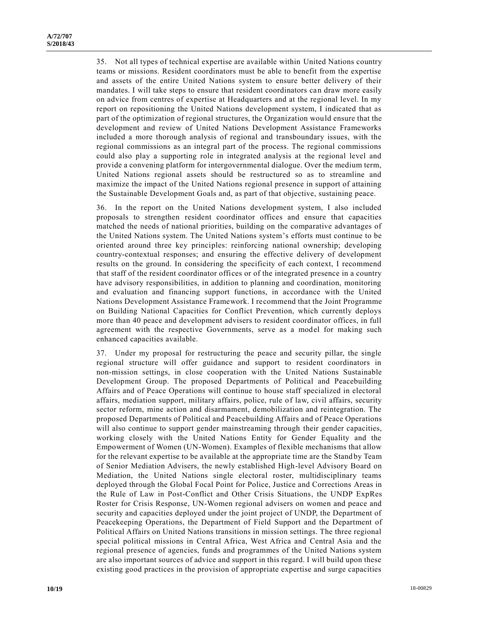35. Not all types of technical expertise are available within United Nations country teams or missions. Resident coordinators must be able to benefit from the expertise and assets of the entire United Nations system to ensure better delivery of their mandates. I will take steps to ensure that resident coordinators can draw more easily on advice from centres of expertise at Headquarters and at the regional level. In my report on repositioning the United Nations development system, I indicated that as part of the optimization of regional structures, the Organization would ensure that the development and review of United Nations Development Assistance Frameworks included a more thorough analysis of regional and transboundary issues, with the regional commissions as an integral part of the process. The regional commissions could also play a supporting role in integrated analysis at the regional level and provide a convening platform for intergovernmental dialogue. Over the medium term, United Nations regional assets should be restructured so as to streamline and maximize the impact of the United Nations regional presence in support of attaining the Sustainable Development Goals and, as part of that objective, sustaining peace.

36. In the report on the United Nations development system, I also included proposals to strengthen resident coordinator offices and ensure that capacities matched the needs of national priorities, building on the comparative advantages of the United Nations system. The United Nations system's efforts must continue to be oriented around three key principles: reinforcing national ownership; developing country-contextual responses; and ensuring the effective delivery of development results on the ground. In considering the specificity of each context, I recommend that staff of the resident coordinator offices or of the integrated presence in a country have advisory responsibilities, in addition to planning and coordination, monitoring and evaluation and financing support functions, in accordance with the United Nations Development Assistance Framework. I recommend that the Joint Programme on Building National Capacities for Conflict Prevention, which currently deploys more than 40 peace and development advisers to resident coordinator offices, in full agreement with the respective Governments, serve as a model for making such enhanced capacities available.

37. Under my proposal for restructuring the peace and security pillar, the single regional structure will offer guidance and support to resident coordinators in non-mission settings, in close cooperation with the United Nations Sustainable Development Group. The proposed Departments of Political and Peacebuilding Affairs and of Peace Operations will continue to house staff specialized in electoral affairs, mediation support, military affairs, police, rule of law, civil affairs, security sector reform, mine action and disarmament, demobilization and reintegration. The proposed Departments of Political and Peacebuilding Affairs and of Peace Operations will also continue to support gender mainstreaming through their gender capacities, working closely with the United Nations Entity for Gender Equality and the Empowerment of Women (UN-Women). Examples of flexible mechanisms that allow for the relevant expertise to be available at the appropriate time are the Stand by Team of Senior Mediation Advisers, the newly established High-level Advisory Board on Mediation, the United Nations single electoral roster, multidisciplinary teams deployed through the Global Focal Point for Police, Justice and Corrections Areas in the Rule of Law in Post-Conflict and Other Crisis Situations, the UNDP ExpRes Roster for Crisis Response, UN-Women regional advisers on women and peace and security and capacities deployed under the joint project of UNDP, the Department of Peacekeeping Operations, the Department of Field Support and the Department of Political Affairs on United Nations transitions in mission settings. The three regional special political missions in Central Africa, West Africa and Central Asia and the regional presence of agencies, funds and programmes of the United Nations system are also important sources of advice and support in this regard. I will build upon these existing good practices in the provision of appropriate expertise and surge capacities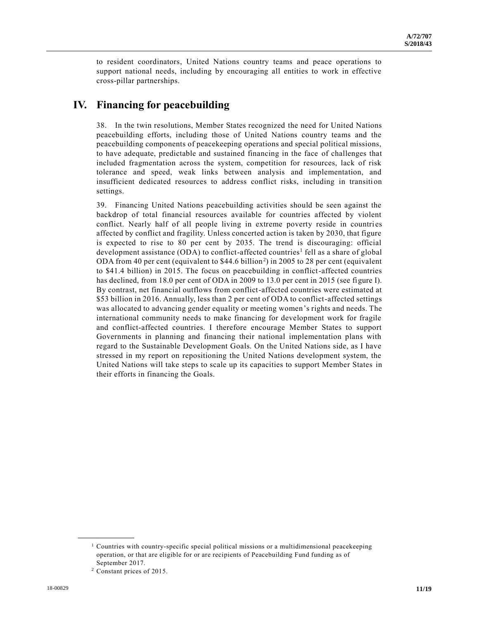to resident coordinators, United Nations country teams and peace operations to support national needs, including by encouraging all entities to work in effective cross-pillar partnerships.

# **IV. Financing for peacebuilding**

38. In the twin resolutions, Member States recognized the need for United Nations peacebuilding efforts, including those of United Nations country teams and the peacebuilding components of peacekeeping operations and special political missions, to have adequate, predictable and sustained financing in the face of challenges that included fragmentation across the system, competition for resources, lack of risk tolerance and speed, weak links between analysis and implementation, and insufficient dedicated resources to address conflict risks, including in transition settings.

39. Financing United Nations peacebuilding activities should be seen against the backdrop of total financial resources available for countries affected by violent conflict. Nearly half of all people living in extreme poverty reside in countries affected by conflict and fragility. Unless concerted action is taken by 2030, that figure is expected to rise to 80 per cent by 2035. The trend is discouraging: official development assistance (ODA) to conflict-affected countries<sup>1</sup> fell as a share of global ODA from 40 per cent (equivalent to  $$44.6$  billion<sup>2</sup>) in 2005 to 28 per cent (equivalent to \$41.4 billion) in 2015. The focus on peacebuilding in conflict-affected countries has declined, from 18.0 per cent of ODA in 2009 to 13.0 per cent in 2015 (see figure I). By contrast, net financial outflows from conflict-affected countries were estimated at \$53 billion in 2016. Annually, less than 2 per cent of ODA to conflict-affected settings was allocated to advancing gender equality or meeting women's rights and needs. The international community needs to make financing for development work for fragile and conflict-affected countries. I therefore encourage Member States to support Governments in planning and financing their national implementation plans with regard to the Sustainable Development Goals. On the United Nations side, as I have stressed in my report on repositioning the United Nations development system, the United Nations will take steps to scale up its capacities to support Member States in their efforts in financing the Goals.

**\_\_\_\_\_\_\_\_\_\_\_\_\_\_\_\_\_\_**

<sup>&</sup>lt;sup>1</sup> Countries with country-specific special political missions or a multidimensional peacekeeping operation, or that are eligible for or are recipients of Peacebuilding Fund funding as of September 2017.

<sup>2</sup> Constant prices of 2015.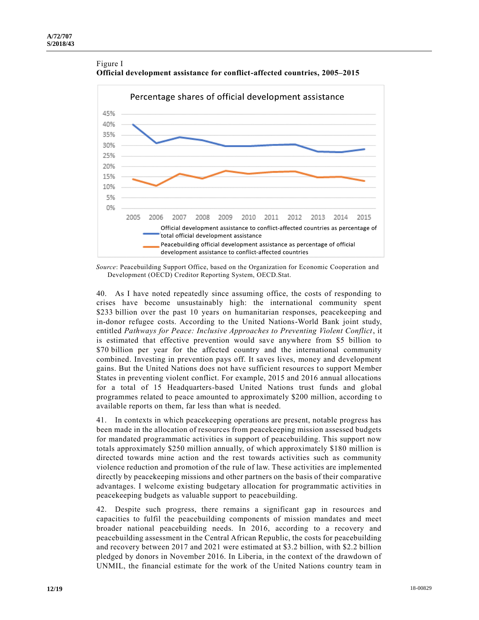

Figure I **Official development assistance for conflict-affected countries, 2005–2015**

*Source*: Peacebuilding Support Office, based on the Organization for Economic Cooperation and Development (OECD) Creditor Reporting System, OECD.Stat.

40. As I have noted repeatedly since assuming office, the costs of responding to crises have become unsustainably high: the international community spent \$233 billion over the past 10 years on humanitarian responses, peacekeeping and in-donor refugee costs. According to the United Nations-World Bank joint study, entitled *Pathways for Peace: Inclusive Approaches to Preventing Violent Conflict*, it is estimated that effective prevention would save anywhere from \$5 billion to \$70 billion per year for the affected country and the international community combined. Investing in prevention pays off. It saves lives, money and development gains. But the United Nations does not have sufficient resources to support Member States in preventing violent conflict. For example, 2015 and 2016 annual allocations for a total of 15 Headquarters-based United Nations trust funds and global programmes related to peace amounted to approximately \$200 million, according to available reports on them, far less than what is needed.

41. In contexts in which peacekeeping operations are present, notable progress has been made in the allocation of resources from peacekeeping mission assessed budgets for mandated programmatic activities in support of peacebuilding. This support now totals approximately \$250 million annually, of which approximately \$180 million is directed towards mine action and the rest towards activities such as community violence reduction and promotion of the rule of law. These activities are implemented directly by peacekeeping missions and other partners on the basis of their comparative advantages. I welcome existing budgetary allocation for programmatic activities in peacekeeping budgets as valuable support to peacebuilding.

42. Despite such progress, there remains a significant gap in resources and capacities to fulfil the peacebuilding components of mission mandates and meet broader national peacebuilding needs. In 2016, according to a recovery and peacebuilding assessment in the Central African Republic, the costs for peacebuilding and recovery between 2017 and 2021 were estimated at \$3.2 billion, with \$2.2 billion pledged by donors in November 2016. In Liberia, in the context of the drawdown of UNMIL, the financial estimate for the work of the United Nations country team in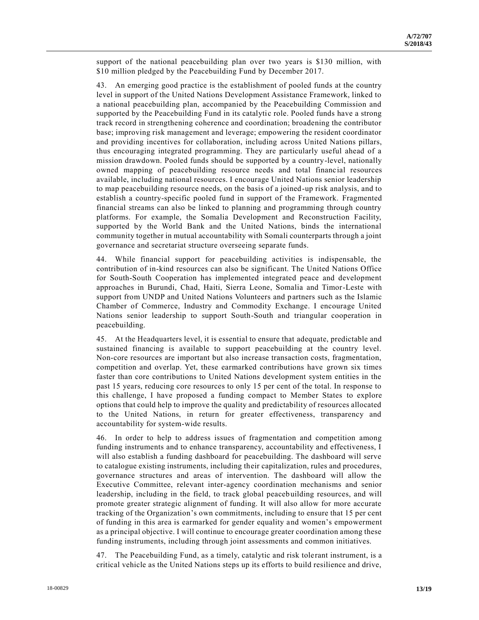support of the national peacebuilding plan over two years is \$130 million, with \$10 million pledged by the Peacebuilding Fund by December 2017.

43. An emerging good practice is the establishment of pooled funds at the country level in support of the United Nations Development Assistance Framework, linked to a national peacebuilding plan, accompanied by the Peacebuilding Commission and supported by the Peacebuilding Fund in its catalytic role. Pooled funds have a strong track record in strengthening coherence and coordination; broadening the contributor base; improving risk management and leverage; empowering the resident coordinator and providing incentives for collaboration, including across United Nations pillars, thus encouraging integrated programming. They are particularly useful ahead of a mission drawdown. Pooled funds should be supported by a country-level, nationally owned mapping of peacebuilding resource needs and total financial resources available, including national resources. I encourage United Nations senior leadership to map peacebuilding resource needs, on the basis of a joined-up risk analysis, and to establish a country-specific pooled fund in support of the Framework. Fragmented financial streams can also be linked to planning and programming through country platforms. For example, the Somalia Development and Reconstruction Facility, supported by the World Bank and the United Nations, binds the international community together in mutual accountability with Somali counterparts through a joint governance and secretariat structure overseeing separate funds.

44. While financial support for peacebuilding activities is indispensable, the contribution of in-kind resources can also be significant. The United Nations Office for South-South Cooperation has implemented integrated peace and development approaches in Burundi, Chad, Haiti, Sierra Leone, Somalia and Timor-Leste with support from UNDP and United Nations Volunteers and partners such as the Islamic Chamber of Commerce, Industry and Commodity Exchange. I encourage United Nations senior leadership to support South-South and triangular cooperation in peacebuilding.

45. At the Headquarters level, it is essential to ensure that adequate, predictable and sustained financing is available to support peacebuilding at the country level. Non-core resources are important but also increase transaction costs, fragmentation, competition and overlap. Yet, these earmarked contributions have grown six times faster than core contributions to United Nations development system entities in the past 15 years, reducing core resources to only 15 per cent of the total. In response to this challenge, I have proposed a funding compact to Member States to explore options that could help to improve the quality and predictability of resources allocated to the United Nations, in return for greater effectiveness, transparency and accountability for system-wide results.

46. In order to help to address issues of fragmentation and competition among funding instruments and to enhance transparency, accountability and effectiveness, I will also establish a funding dashboard for peacebuilding. The dashboard will serve to catalogue existing instruments, including their capitalization, rules and procedures, governance structures and areas of intervention. The dashboard will allow the Executive Committee, relevant inter-agency coordination mechanisms and senior leadership, including in the field, to track global peacebuilding resources, and will promote greater strategic alignment of funding. It will also allow for more accurate tracking of the Organization's own commitments, including to ensure that 15 per cent of funding in this area is earmarked for gender equality and women's empowerment as a principal objective. I will continue to encourage greater coordination among these funding instruments, including through joint assessments and common initiatives.

47. The Peacebuilding Fund, as a timely, catalytic and risk tolerant instrument, is a critical vehicle as the United Nations steps up its efforts to build resilience and drive,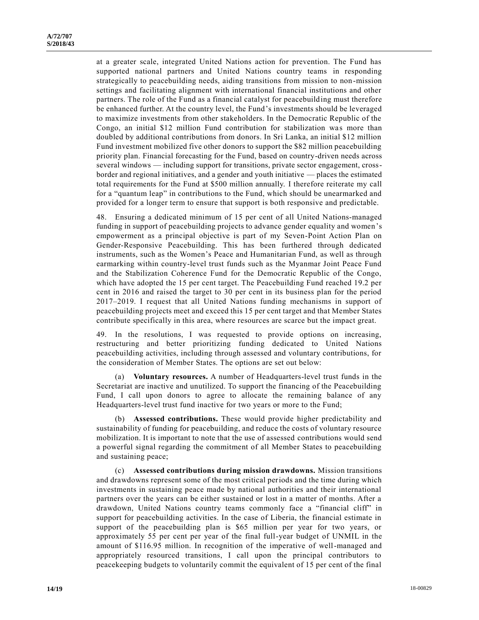at a greater scale, integrated United Nations action for prevention. The Fund has supported national partners and United Nations country teams in responding strategically to peacebuilding needs, aiding transitions from mission to non-mission settings and facilitating alignment with international financial institutions and other partners. The role of the Fund as a financial catalyst for peacebuilding must therefore be enhanced further. At the country level, the Fund's investments should be leveraged to maximize investments from other stakeholders. In the Democratic Republic of the Congo, an initial \$12 million Fund contribution for stabilization was more than doubled by additional contributions from donors. In Sri Lanka, an initial \$12 million Fund investment mobilized five other donors to support the \$82 million peacebuilding priority plan. Financial forecasting for the Fund, based on country-driven needs across several windows — including support for transitions, private sector engagement, crossborder and regional initiatives, and a gender and youth initiative — places the estimated total requirements for the Fund at \$500 million annually. I therefore reiterate my call for a "quantum leap" in contributions to the Fund, which should be unearmarked and provided for a longer term to ensure that support is both responsive and predictable.

48. Ensuring a dedicated minimum of 15 per cent of all United Nations-managed funding in support of peacebuilding projects to advance gender equality and women's empowerment as a principal objective is part of my Seven-Point Action Plan on Gender-Responsive Peacebuilding. This has been furthered through dedicated instruments, such as the Women's Peace and Humanitarian Fund, as well as through earmarking within country-level trust funds such as the Myanmar Joint Peace Fund and the Stabilization Coherence Fund for the Democratic Republic of the Congo, which have adopted the 15 per cent target. The Peacebuilding Fund reached 19.2 per cent in 2016 and raised the target to 30 per cent in its business plan for the period 2017–2019. I request that all United Nations funding mechanisms in support of peacebuilding projects meet and exceed this 15 per cent target and that Member States contribute specifically in this area, where resources are scarce but the impact great.

49. In the resolutions, I was requested to provide options on increasing, restructuring and better prioritizing funding dedicated to United Nations peacebuilding activities, including through assessed and voluntary contributions, for the consideration of Member States. The options are set out below:

(a) **Voluntary resources.** A number of Headquarters-level trust funds in the Secretariat are inactive and unutilized. To support the financing of the Peacebuilding Fund, I call upon donors to agree to allocate the remaining balance of any Headquarters-level trust fund inactive for two years or more to the Fund;

(b) **Assessed contributions.** These would provide higher predictability and sustainability of funding for peacebuilding, and reduce the costs of voluntary resource mobilization. It is important to note that the use of assessed contributions would send a powerful signal regarding the commitment of all Member States to peacebuilding and sustaining peace;

(c) **Assessed contributions during mission drawdowns.** Mission transitions and drawdowns represent some of the most critical periods and the time during which investments in sustaining peace made by national authorities and their international partners over the years can be either sustained or lost in a matter of months. After a drawdown, United Nations country teams commonly face a "financial cliff" in support for peacebuilding activities. In the case of Liberia, the financial estimate in support of the peacebuilding plan is \$65 million per year for two years, or approximately 55 per cent per year of the final full-year budget of UNMIL in the amount of \$116.95 million. In recognition of the imperative of well-managed and appropriately resourced transitions, I call upon the principal contributors to peacekeeping budgets to voluntarily commit the equivalent of 15 per cent of the final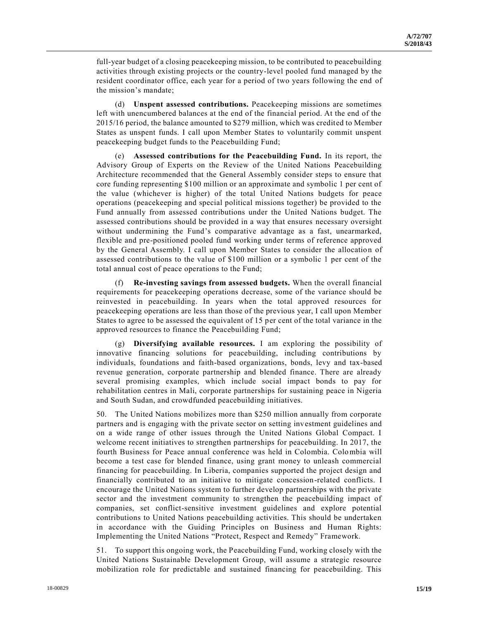full-year budget of a closing peacekeeping mission, to be contributed to peacebuilding activities through existing projects or the country-level pooled fund managed by the resident coordinator office, each year for a period of two years following the end of the mission's mandate;

(d) **Unspent assessed contributions.** Peacekeeping missions are sometimes left with unencumbered balances at the end of the financial period. At the end of the 2015/16 period, the balance amounted to \$279 million, which was credited to Member States as unspent funds. I call upon Member States to voluntarily commit unspent peacekeeping budget funds to the Peacebuilding Fund;

(e) **Assessed contributions for the Peacebuilding Fund.** In its report, the Advisory Group of Experts on the Review of the United Nations Peacebuilding Architecture recommended that the General Assembly consider steps to ensure that core funding representing \$100 million or an approximate and symbolic 1 per cent of the value (whichever is higher) of the total United Nations budgets for peace operations (peacekeeping and special political missions together) be provided to the Fund annually from assessed contributions under the United Nations budget. The assessed contributions should be provided in a way that ensures necessary oversight without undermining the Fund's comparative advantage as a fast, unearmarked, flexible and pre-positioned pooled fund working under terms of reference approved by the General Assembly. I call upon Member States to consider the allocatio n of assessed contributions to the value of \$100 million or a symbolic 1 per cent of the total annual cost of peace operations to the Fund;

**Re-investing savings from assessed budgets.** When the overall financial requirements for peacekeeping operations decrease, some of the variance should be reinvested in peacebuilding. In years when the total approved resources for peacekeeping operations are less than those of the previous year, I call upon Member States to agree to be assessed the equivalent of 15 per cent of the total variance in the approved resources to finance the Peacebuilding Fund;

(g) **Diversifying available resources.** I am exploring the possibility of innovative financing solutions for peacebuilding, including contributions by individuals, foundations and faith-based organizations, bonds, levy and tax-based revenue generation, corporate partnership and blended finance. There are already several promising examples, which include social impact bonds to pay for rehabilitation centres in Mali, corporate partnerships for sustaining peace in Nigeria and South Sudan, and crowdfunded peacebuilding initiatives.

50. The United Nations mobilizes more than \$250 million annually from corporate partners and is engaging with the private sector on setting investment guidelines and on a wide range of other issues through the United Nations Global Compact. I welcome recent initiatives to strengthen partnerships for peacebuilding. In 2017, the fourth Business for Peace annual conference was held in Colombia. Colombia will become a test case for blended finance, using grant money to unleash commercial financing for peacebuilding. In Liberia, companies supported the project design and financially contributed to an initiative to mitigate concession-related conflicts. I encourage the United Nations system to further develop partnerships with the private sector and the investment community to strengthen the peacebuilding impact of companies, set conflict-sensitive investment guidelines and explore potential contributions to United Nations peacebuilding activities. This should be undertaken in accordance with the Guiding Principles on Business and Human Rights: Implementing the United Nations "Protect, Respect and Remedy" Framework.

51. To support this ongoing work, the Peacebuilding Fund, working closely with the United Nations Sustainable Development Group, will assume a strategic resource mobilization role for predictable and sustained financing for peacebuilding. This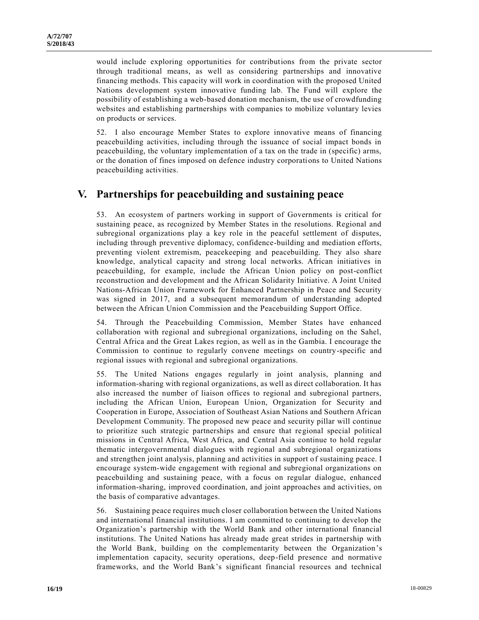would include exploring opportunities for contributions from the private sector through traditional means, as well as considering partnerships and innovative financing methods. This capacity will work in coordination with the proposed United Nations development system innovative funding lab. The Fund will explore the possibility of establishing a web-based donation mechanism, the use of crowdfunding websites and establishing partnerships with companies to mobilize voluntary levies on products or services.

52. I also encourage Member States to explore innovative means of financing peacebuilding activities, including through the issuance of social impact bonds in peacebuilding, the voluntary implementation of a tax on the trade in (specific) arms, or the donation of fines imposed on defence industry corporations to United Nations peacebuilding activities.

### **V. Partnerships for peacebuilding and sustaining peace**

53. An ecosystem of partners working in support of Governments is critical for sustaining peace, as recognized by Member States in the resolutions. Regional and subregional organizations play a key role in the peaceful settlement of disputes, including through preventive diplomacy, confidence-building and mediation efforts, preventing violent extremism, peacekeeping and peacebuilding. They also share knowledge, analytical capacity and strong local networks. African initiatives in peacebuilding, for example, include the African Union policy on post-conflict reconstruction and development and the African Solidarity Initiative. A Joint United Nations-African Union Framework for Enhanced Partnership in Peace and Security was signed in 2017, and a subsequent memorandum of understanding adopted between the African Union Commission and the Peacebuilding Support Office.

54. Through the Peacebuilding Commission, Member States have enhanced collaboration with regional and subregional organizations, including on the Sahel, Central Africa and the Great Lakes region, as well as in the Gambia. I encourage the Commission to continue to regularly convene meetings on country-specific and regional issues with regional and subregional organizations.

55. The United Nations engages regularly in joint analysis, planning and information-sharing with regional organizations, as well as direct collaboration. It has also increased the number of liaison offices to regional and subregional partners, including the African Union, European Union, Organization for Security and Cooperation in Europe, Association of Southeast Asian Nations and Southern African Development Community. The proposed new peace and security pillar will continue to prioritize such strategic partnerships and ensure that regional special political missions in Central Africa, West Africa, and Central Asia continue to hold regular thematic intergovernmental dialogues with regional and subregional organizations and strengthen joint analysis, planning and activities in support of sustaining peace. I encourage system-wide engagement with regional and subregional organizations on peacebuilding and sustaining peace, with a focus on regular dialogue, enhanced information-sharing, improved coordination, and joint approaches and activities, on the basis of comparative advantages.

56. Sustaining peace requires much closer collaboration between the United Nations and international financial institutions. I am committed to continuing to develop the Organization's partnership with the World Bank and other international financial institutions. The United Nations has already made great strides in partnership with the World Bank, building on the complementarity between the Organization's implementation capacity, security operations, deep-field presence and normative frameworks, and the World Bank's significant financial resources and technical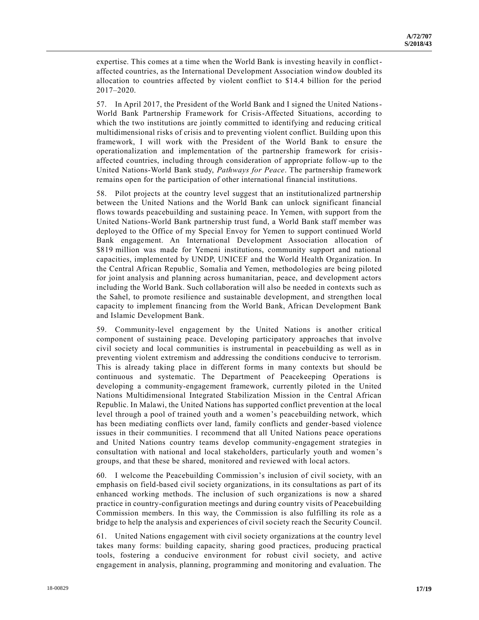expertise. This comes at a time when the World Bank is investing heavily in conflictaffected countries, as the International Development Association window doubled its allocation to countries affected by violent conflict to \$14.4 billion for the period 2017–2020.

57. In April 2017, the President of the World Bank and I signed the United Nations-World Bank Partnership Framework for Crisis-Affected Situations, according to which the two institutions are jointly committed to identifying and reducing critical multidimensional risks of crisis and to preventing violent conflict. Building upon this framework, I will work with the President of the World Bank to ensure the operationalization and implementation of the partnership framework for crisisaffected countries, including through consideration of appropriate follow-up to the United Nations-World Bank study, *Pathways for Peace*. The partnership framework remains open for the participation of other international financial institutions.

58. Pilot projects at the country level suggest that an institutionalized partnership between the United Nations and the World Bank can unlock significant financial flows towards peacebuilding and sustaining peace. In Yemen, with support from the United Nations-World Bank partnership trust fund, a World Bank staff member was deployed to the Office of my Special Envoy for Yemen to support continued World Bank engagement. An International Development Association allocation of \$819 million was made for Yemeni institutions, community support and national capacities, implemented by UNDP, UNICEF and the World Health Organization. In the Central African Republic¸ Somalia and Yemen, methodologies are being piloted for joint analysis and planning across humanitarian, peace, and development actors including the World Bank. Such collaboration will also be needed in contexts such as the Sahel, to promote resilience and sustainable development, and strengthen local capacity to implement financing from the World Bank, African Development Bank and Islamic Development Bank.

59. Community-level engagement by the United Nations is another critical component of sustaining peace. Developing participatory approaches that involve civil society and local communities is instrumental in peacebuilding as well as in preventing violent extremism and addressing the conditions conducive to terrorism. This is already taking place in different forms in many contexts but should be continuous and systematic. The Department of Peacekeeping Operations is developing a community-engagement framework, currently piloted in the United Nations Multidimensional Integrated Stabilization Mission in the Central African Republic. In Malawi, the United Nations has supported conflict prevention at the local level through a pool of trained youth and a women's peacebuilding network, which has been mediating conflicts over land, family conflicts and gender-based violence issues in their communities. I recommend that all United Nations peace operations and United Nations country teams develop community-engagement strategies in consultation with national and local stakeholders, particularly youth and women's groups, and that these be shared, monitored and reviewed with local actors.

60. I welcome the Peacebuilding Commission's inclusion of civil society, with an emphasis on field-based civil society organizations, in its consultations as part of its enhanced working methods. The inclusion of such organizations is now a shared practice in country-configuration meetings and during country visits of Peacebuilding Commission members. In this way, the Commission is also fulfilling its role as a bridge to help the analysis and experiences of civil society reach the Security Council.

61. United Nations engagement with civil society organizations at the country level takes many forms: building capacity, sharing good practices, producing practical tools, fostering a conducive environment for robust civil society, and active engagement in analysis, planning, programming and monitoring and evaluation. The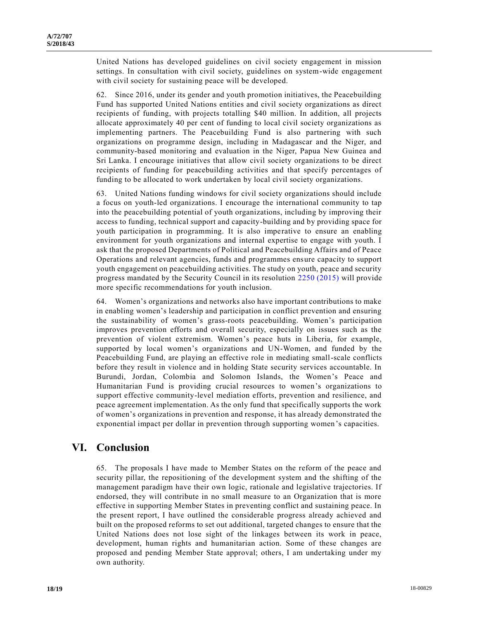United Nations has developed guidelines on civil society engagement in mission settings. In consultation with civil society, guidelines on system-wide engagement with civil society for sustaining peace will be developed.

62. Since 2016, under its gender and youth promotion initiatives, the Peacebuilding Fund has supported United Nations entities and civil society organizations as direct recipients of funding, with projects totalling \$40 million. In addition, all projects allocate approximately 40 per cent of funding to local civil society organizations as implementing partners. The Peacebuilding Fund is also partnering with such organizations on programme design, including in Madagascar and the Niger, and community-based monitoring and evaluation in the Niger, Papua New Guinea and Sri Lanka. I encourage initiatives that allow civil society organizations to be direct recipients of funding for peacebuilding activities and that specify percentages of funding to be allocated to work undertaken by local civil society organizations.

63. United Nations funding windows for civil society organizations should include a focus on youth-led organizations. I encourage the international community to tap into the peacebuilding potential of youth organizations, including by improving their access to funding, technical support and capacity-building and by providing space for youth participation in programming. It is also imperative to ensure an enabling environment for youth organizations and internal expertise to engage with youth. I ask that the proposed Departments of Political and Peacebuilding Affairs and of Peace Operations and relevant agencies, funds and programmes ensure capacity to support youth engagement on peacebuilding activities. The study on youth, peace and security progress mandated by the Security Council in its resolution [2250 \(2015\)](https://undocs.org/S/RES/2250(2015)) will provide more specific recommendations for youth inclusion.

64. Women's organizations and networks also have important contributions to make in enabling women's leadership and participation in conflict prevention and ensuring the sustainability of women's grass-roots peacebuilding. Women's participation improves prevention efforts and overall security, especially on issues such as the prevention of violent extremism. Women's peace huts in Liberia, for example, supported by local women's organizations and UN-Women, and funded by the Peacebuilding Fund, are playing an effective role in mediating small-scale conflicts before they result in violence and in holding State security services accountable. In Burundi, Jordan, Colombia and Solomon Islands, the Women's Peace and Humanitarian Fund is providing crucial resources to women's organizations to support effective community-level mediation efforts, prevention and resilience, and peace agreement implementation. As the only fund that specifically supports the work of women's organizations in prevention and response, it has already demonstrated the exponential impact per dollar in prevention through supporting women's capacities.

### **VI. Conclusion**

65. The proposals I have made to Member States on the reform of the peace and security pillar, the repositioning of the development system and the shifting of the management paradigm have their own logic, rationale and legislative trajectories. If endorsed, they will contribute in no small measure to an Organization that is more effective in supporting Member States in preventing conflict and sustaining peace. In the present report, I have outlined the considerable progress already achieved and built on the proposed reforms to set out additional, targeted changes to ensure that the United Nations does not lose sight of the linkages between its work in peace, development, human rights and humanitarian action. Some of these changes are proposed and pending Member State approval; others, I am undertaking under my own authority.